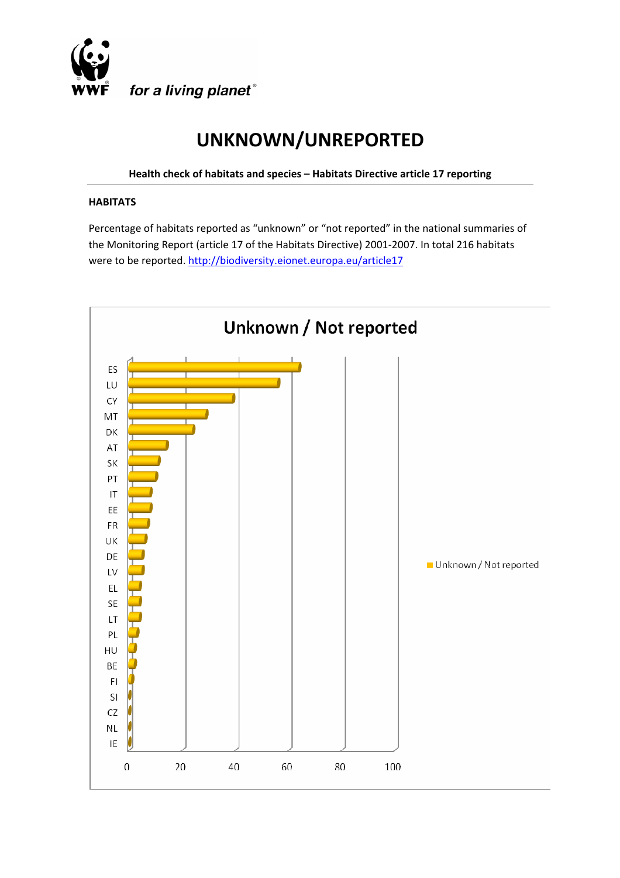

# **UNKNOWN/UNREPORTED**

**Health check of habitats and species – Habitats Directive article 17 reporting** 

#### **HABITATS**

Percentage of habitats reported as "unknown" or "not reported" in the national summaries of the Monitoring Report (article 17 of the Habitats Directive) 2001‐2007. In total 216 habitats were to be reported. http://biodiversity.eionet.europa.eu/article17

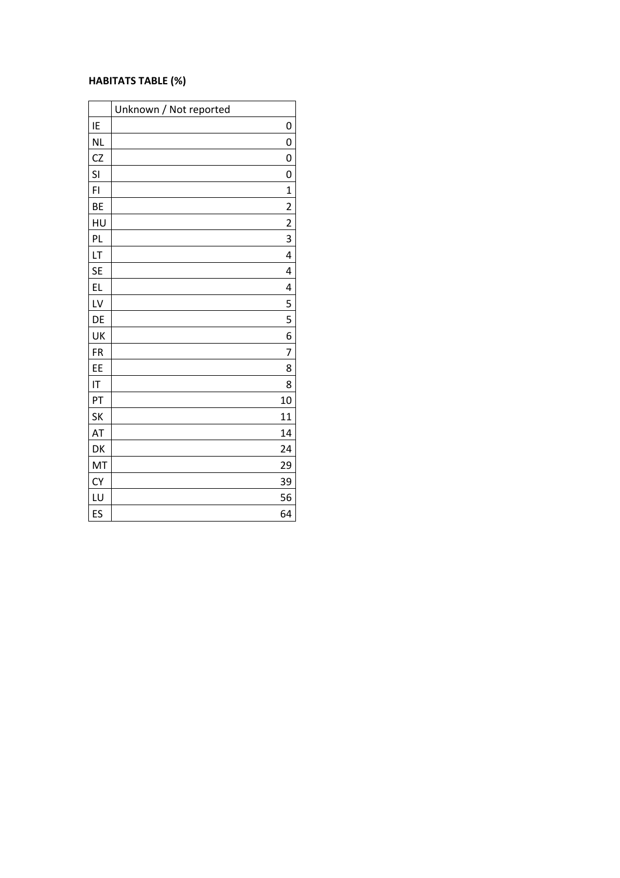#### **HABITATS TABLE (%)**

|                | Unknown / Not reported  |
|----------------|-------------------------|
| IE             | 0                       |
| <b>NL</b>      | 0                       |
| CZ             | 0                       |
| SI             | 0                       |
| F <sub>1</sub> | $\mathbf 1$             |
| BE             | $\overline{c}$          |
| HU             | $\overline{\mathbf{c}}$ |
| PL             | 3                       |
| LT             | $\overline{4}$          |
| <b>SE</b>      | 4                       |
| EL             | 4                       |
| LV             | 5                       |
| DE             | 5                       |
| UK             | 6                       |
| <b>FR</b>      | 7                       |
| EE             | 8                       |
| IT             | 8                       |
| PT             | 10                      |
| <b>SK</b>      | 11                      |
| AT             | 14                      |
| DK             | 24                      |
| MT             | 29                      |
| <b>CY</b>      | 39                      |
| LU             | 56                      |
| ES             | 64                      |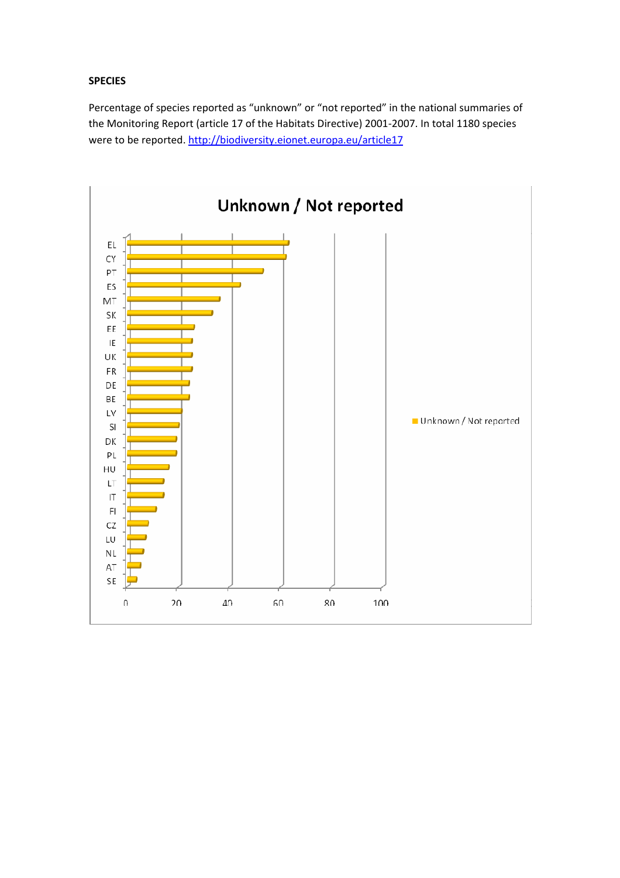### **SPECIES**

Percentage of species reported as "unknown" or "not reported" in the national summaries of the Monitoring Report (article 17 of the Habitats Directive) 2001‐2007. In total 1180 species were to be reported. http://biodiversity.eionet.europa.eu/article17